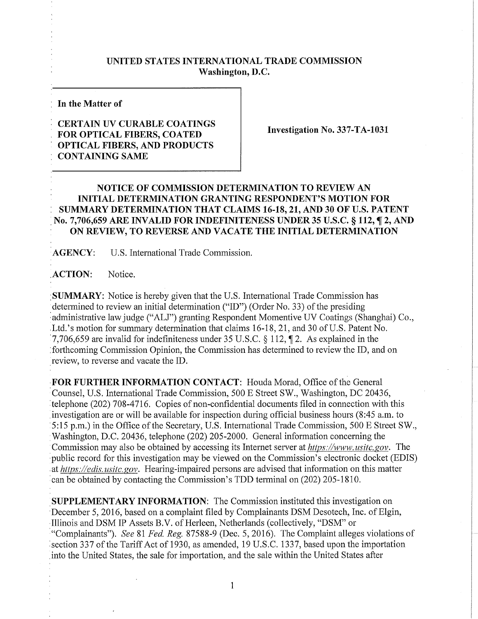## **UNITED STATES INTERNATIONAL TRADE COMMISSION Washington, D.C.**

**In the Matter of** 

## **CERTAIN UV CURABLE COATINGS FOR OPTICAL FIBERS, COATED OPTICAL FIBERS, AND PRODUCTS CONTAINING SAME**

**Investigation No. 337-TA-1031** 

## **NOTICE OF COMMISSION DETERMINATION TO REVIEW AN INITIAL DETERMINATION GRANTING RESPONDENT'S MOTION FOR SUMMARY DETERMINATION THAT CLAIMS 16-18, 21, AND 30 OF U.S. PATENT No. 7,706,659 AR E INVALID FOR INDEFINITENESS UNDER 35 U.S.C. § 112, f 2, AND ON REVIEW, TO REVERSE AND VACATE THE INITIAL DETERMINATION**

**AGENCY:** U**.S.** International Trade Commission.

ACTION: Notice.

**SUMMARY:** Notice is hereby given that the U.S. International Trade Commission has determined to review an initial determination ("ID") (Order No. 33) of the presiding administrative law judge ("ALJ") granting Respondent Momentive UV Coatings (Shanghai) Co., Ltd.'s motion for summary determination that claims 16-18, 21, and 30 of U.S. Patent No. 7,706,659 are invalid for indefiniteness under 35 U.S.C. § 112,  $\P$  2. As explained in the forthcoming Commission Opinion, the Commission has determined to review the ID, and on review, to reverse and vacate the ID.

FOR FURTHER INFORMATION CONTACT: Houda Morad, Office of the General Counsel, U.S. International Trade Commission, 500 E Street SW., Washington, DC 20436, telephone (202) 708-4716. Copies of non-confidential documents filed in connection with this investigation are or will be available for inspection during official business hours (8:45 a.m. to 5:15 p.m.) in the Office of the Secretary, U.S. International Trade Commission, 500 E Street SW., Washington, D.C. 20436, telephone (202) 205-2000. General information concerning the Commission may also be obtained by accessing its Internet server at *https://www, usitc.gov.* The public record for this investigation may be viewed on the Commission's electronic docket (EDIS) at *https://edis. usitc.*gov. Hearing-impaired persons are advised that information on this matter can be obtained by contacting the Commission's TDD terminal on (202) 205-1810.

**SUPPLEMENTARY INFORMATION:** The Commission instituted this investigation on December 5, 2016, based on a complaint filed by Complainants DSM Desotech, Inc. of Elgin, Illinois and DSM IP Assets B.V. of Herleen, Netherlands (collectively, "DSM" or "Complainants"). *See* 81 *Fed. Reg.* 87588-9 (Dec. 5, 2016). The Complaint alleges violations of section 337 of the Tariff Act of 1930, as amended, 19 U.S.C. 1337, based upon the importation into the United States, the sale for importation, and the sale within the United States after